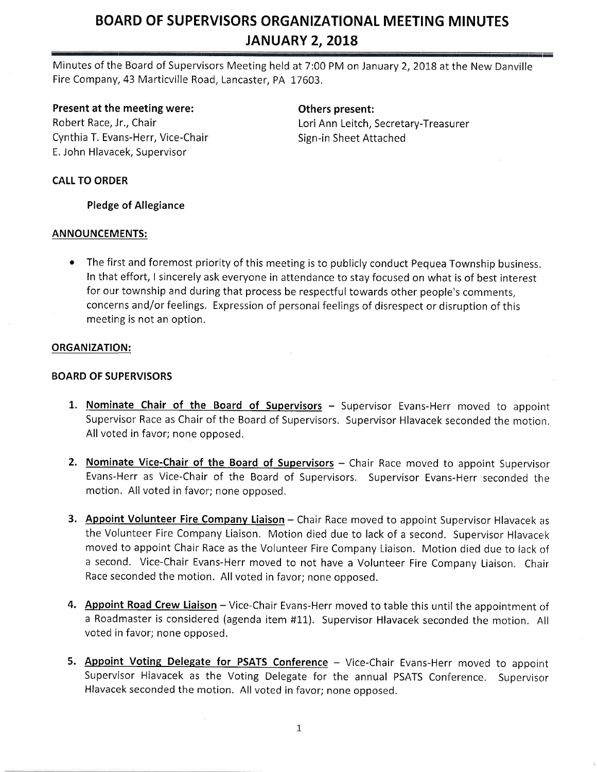Minutes of the Board of Supervisors Meeting held at 7:00 PM on January 2, 2018 at the New Danville Fire Company,43 Marticville Road, Lancaster, PA 17603.

### Present at the meeting were:

Robert Race, Jr., Chair Cynthia T. Evans-Herr, Vice-Chair E, John Hlavacek, Supervisor

# Others present:

Lori Ann Leitch, Secretary-Treasurer Sign-in Sheet Attached

### CALL TO ORDER

### Pledge of Allegiance

### ANNOUNCEMENTS:

• The first and foremost priority of this meeting is to publicly conduct Pequea Township business. In that effort, I sincerely ask everyone in attendance to stay focused on what is of best interest for our township and during that process be respectful towards other people's comments, concerns and/or feelings, Expression of personal feelings of disrespect or disruption of this meeting is not an option.

### ORGANIZATION:

### BOARD OF SUPERVISORS

- 1. Nominate Chair of the Board of Supervisors Supervisor Evans-Herr moved to appoint Supervisor Race as Chair of the Board of Supervisors, Supervisor Hlavacek seconded the motion. All voted in favor; none opposed.
- 2. Nominate Vice-Chair of the Board of Supervisors Chair Race moved to appoint Supervisor Evans-Herr as Vice-Chair of the Board of Supervisors, Supervisor Evans-Herr seconded the motion. All voted in favor; none opposed.
- 3. Appoint Volunteer Fire Company Liaison Chair Race moved to appoint Supervisor Hlavacek as the Volunteer Fire Company Liaison. Motion died due to lack of a second. Supervisor Hlavacek moved to appoint Chair Race as the Volunteer Fire Company Liaison. Motion died due to lack of a second, Vice-Chair Evans-Herr moved to not have a Volunteer Fire Company Liaison, Chair Race seconded the motion. All voted in favor; none opposed.
- 4. Appoint Road Crew Liaison Vice-Chair Evans-Herr moved to table this until the appointment of a Roadmaster is considered (agenda item #11). Supervisor Hlavacek seconded the motion. All voted in favor; none opposed.
- 5. Appoint Voting Delegate for PSATS Conference Vice-Chair Evans-Herr moved to appoint Supervisor Hlavacek as the Voting Delegate for the annual PSATS Conference. Supervisor Hlavacek seconded the motion. All voted in favor; none opposed.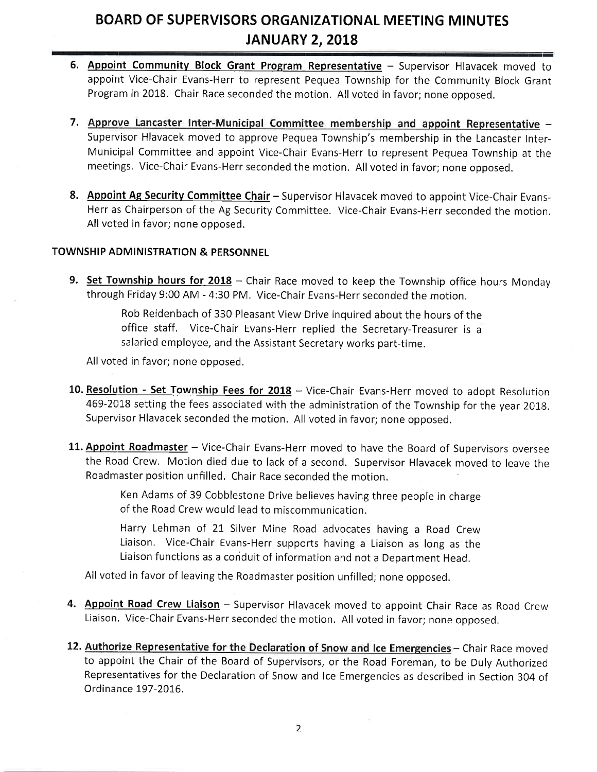- 6. Appoint Community Block Grant Program Representative Supervisor Hlavacek moved to appoint Vice-Chair Evans-Herr to represent Pequea Township for the Community Block Grant Program in 2018. Chair Race seconded the motion, All voted in favor; none opposed.
- 7. Approve Lancaster Inter-Municipal Committee membership and appoint Representative -Supervisor Hlavacek moved to approve Pequea Township's membership in the Lancaster Interr-Municipal Committee and appoint Vice-Chair Evans-Herr to represent Pequea Township at the meetings, Vice-Chair Evans-Herr seconded the motion. All voted in favor; none opposed.
- 8. Appoint Ag Security Committee Chair Supervisor Hlavacek moved to appoint Vice-Chair Evans-Herr as Chairperson of the Ag Security Committee. Vice-Chair Evans-Herr seconded the motion, All voted in favor; none opposed.

#### TOWNSHIP ADMINISTRATION & PERSONNEL

9. Set Township hours for  $2018$  - Chair Race moved to keep the Township office hours Monday through Friday 9:00 AM - 4:30 PM. Vice-Chair Evans-Herr seconded the motion.

> Rob Reidenbach of 330 Pleasant View Drive inquired about the hours of the office staff. Vice-Chair Evans-Herr replied the Secretary-Treasurer is <sup>a</sup> salaried employee, and the Assistant Secretary works part-time.

All voted in favor; none opposed.

- 10. Resolution Set Township Fees for 2018 Vice-Chair Evans-Herr moved to adopt Resolution 469-2018 setting the fees associated with the administration of the Township for the year 2018. Supervisor Hlavacek seconded the motion. All voted in favor; none opposed.
- 11. Appoint Roadmaster Vice-Chair Evans-Herr moved to have the Board of Supervisors oversee the Road Crew. Motion died due to lack of a second. Supervisor Hlavacek moved to leave the Roadmaster position unfilled. Chair Race seconded the motion

Ken Adams of 39 Cobblestone Drive believes having three people in charge of the Road Crew would lead to miscommunication.

Harry Lehman of 21 Silver Mine Road advocates having a Road Crew Liaison. Vice-Chair Evans-Herr supports having a Liaison as long as the Liaison functions as a conduit of information and not a Department Head,

All voted in favor of leaving the Roadmaster position unfilled; none opposed.

- 4. Appoint Road Crew Liaison Supervisor Hlavacek moved to appoint Chair Race as Road Crew Liaison. Vice-Chair Evans-Herr seconded the motion. All voted in favor; none opposed.
- 12. Authorize Representative for the Declaration of Snow and Ice Emergencies Chair Race moved to appoint the Chair of the Board of Supervisors, or the Road Foreman, to be Duly Authorized Representatives for the Declaration of Snow and Ice Emergencies as described in Section 304 of Ordinance 197-2016.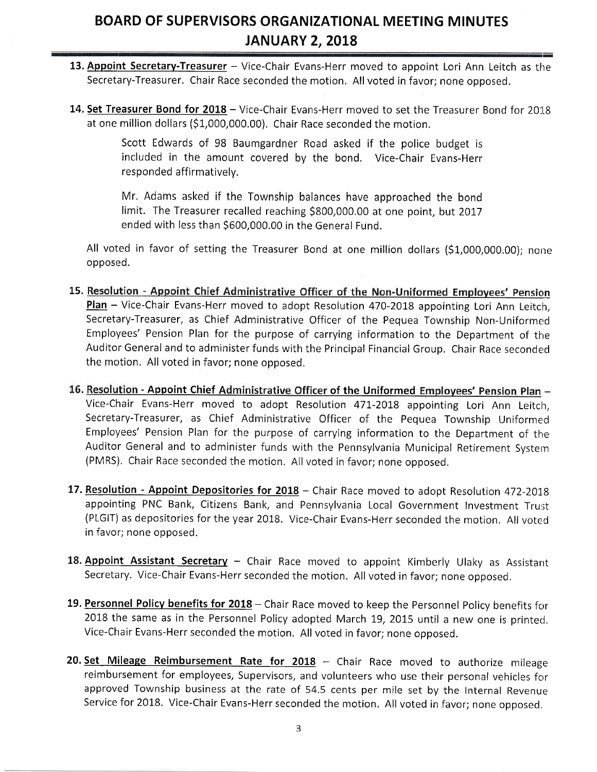- 13. Appoint Secretary-Treasurer Vice-Chair Evans-Herr moved to appoint Lori Ann Leitch as the Secretary-Treasurer. Chair Race seconded the motion. All voted in favor; none opposed.
- 14. Set Treasurer Bond for 2018 Vice-Chair Evans-Herr moved to set the Treasurer Bond for 2018 at one million dollars (\$1,000,000.00). Chair Race seconded the motion.

Scott Edwards of 98 Baumgardner Road asked if the police budget is included in the amount covered bv the bond. Vice-Chair Evans-Herr responded affirmatively.

Mr. Adams asked if the Township balances have approached the bond limit. The Treasurer recalled reaching \$800,000.00 at one point, but 2017 ended with less than \$600,000.00 in the General Fund.

All voted in favor of setting the Treasurer Bond at one million dollars (\$1,000,000.00); none opposed.

- 15. Resolution Appoint Chief Administrative Officer of the Non-Uniformed Employees' Pension Plan - Vice-Chair Evans-Herr moved to adopt Resolution 470-2018 appointing Lori Ann Leitch, Secretary-Treasurer, as Chief Administrative Officer of the Pequea Township Non-Uniformed Employees' Pension Plan for the purpose of carrying information to the Department of the Auditor General and to administer funds with the Principal Financial Group. Chair Race seconded the motion. All voted in favor; none opposed,
- 16. Resolution Appoint Chief Administrative Officer of the Uniformed Employees' Pension Plan -Vice-Chair Evans-Herr moved to adopt Resolution 471-2018 appointing Lori Ann Leitch, Secretary-Treasurer, as Chief Administrative Officer of the Pequea Township Uniformed Employees' Pension Plan for the purpose of carrying information to the Department of the Auditor General and to administer funds with the Pennsylvania Municipal Retirement Systern (PMRS). chair Race seconded the motion, All voted in favor; none opposed.
- 17. Resolution Appoint Depositories for 2018 Chair Race moved to adopt Resolution 472-2018 appointing PNC Bank, Citizens Bank, and Pennsylvania Local Government Investment Trust (PLGIT) as depositories for the year 2018. Vice-Chair Evans-Herr seconded the motion. All voted in favor; none opposed.
- 18. Appoint Assistant Secretary Chair Race moved to appoint Kimberly Ulaky as Assistant Secretary. Vice-Chair Evans-Herr seconded the motion. All voted in favor; none opposed.
- 19. Personnel Policy benefits for 2018 Chair Race moved to keep the Personnel Policy benefits for 2018 the same as in the Personnel Policy adopted March 19, 2015 until a new one is printed. Vice-Chair Evans-Herr seconded the motion. All voted in favor; none opposed.
- 20. Set Mileage Reimbursement Rate for  $2018$  Chair Race moved to authorize mileage reimbursement for employees, Supervisors, and volunteers who use their personal vehicles for approved Township business at the rate of 54,5 cents per mile set by the Internal Revenue Service for 2018. Vice-Chair Evans-Herr seconded the motion. All voted in favor; none opposed.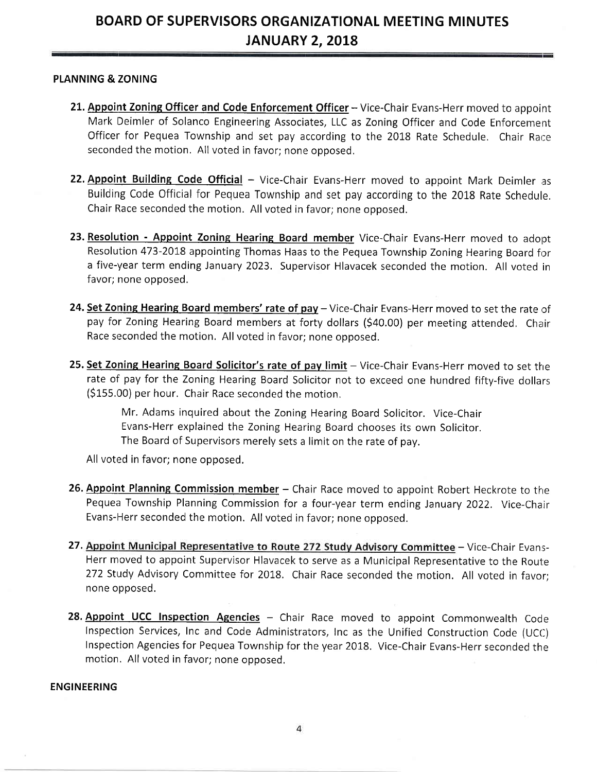#### PLANNING & ZONING

- 21. Appoint Zoning Officer and Code Enforcement Officer Vice-Chair Evans-Herr moved to appoint Mark lDeimler of Solanco Engineering Associates, LLC as Zoning Officer and Code Enforcement Officer for Pequea Township and set pay according to the 2018 Rate Schedule. Chair Race seconded the motion. All voted in favor; none opposed.
- 22. Appoint Building Code Official Vice-Chair Evans-Herr moved to appoint Mark Deimler as Building Code Official for Pequea Township and set pay according to the 2018 Rate Schedule. Chair Race seconded the motion. All voted in favor; none opposed.
- 23. Resolution Appoint Zoning Hearing Board member Vice-Chair Evans-Herr moved to adopt Resolution 473-2018 appointing Thomas Haas to the Pequea Township Zoning Hearing Board for a five-year term ending January 2023. Supervisor Hlavacek seconded the motion. All voted in favor; none opposed.
- 24. Set Zoning Hearing Board members' rate of pay Vice-Chair Evans-Herr moved to set the rate of pay for Zoning Hearing Board members at forty dollars (\$40.00) per meeting attended. Chair Race seconded the motion. All voted in favor; none opposed.
- 25. Set Zoning Hearing Board Solicitor's rate of pay limit Vice-Chair Evans-Herr moved to set the rate of pay for the Zoning Hearing Board Solicitor not to exceed one hundred fifty-five dollars (\$155.00) per hour. Chair Race seconded the motion.

Mr. Adams inquired about the Zoning Hearing Board Solicitor. Vice-Chair Evans-Herr explained the Zoning Hearing Board chooses its own Solicitor. The Board of Supervisors merely sets a limit on the rate of pay.

All voted in favor; none opposed.

- 26. Appoint Planning Commission member Chair Race moved to appoint Robert Heckrote to the Pequea Township Planning Commission for a four-year term ending January 2022. Vice-Chair Evans-lHerr seconded the motion. All voted in favor; none opposed.
- 27. Appoint Municipal Representative to Route 272 Study Advisory Committee Vice-Chair Evans-Herr moved to appoint Supervisor Hlavacek to serve as a Municipal Representative to the Route 272 Study Advisory Committee for 2018. Chair Race seconded the motion. All voted in favor; none opposed.
- 28. Appoint UCC Inspection Agencies Chair Race moved to appoint Commonwealth Code lnspection Services, Inc and Code Administrators, Inc as the Unified Construction Code (UCC) Inspection Agencies for Pequea Township for the year 2018. Vice-Chair Evans-Herr seconded the motion. All voted in favor; none opposed.

#### ENGINEERING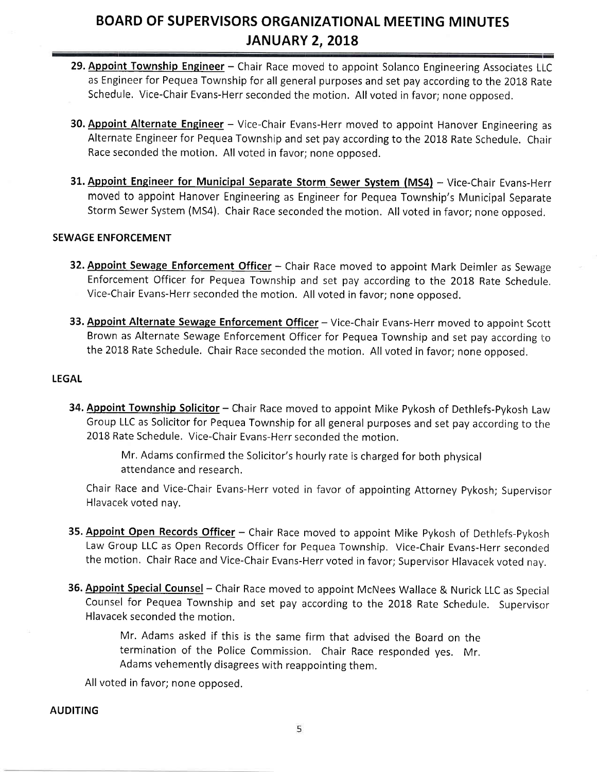- 29. Appoint Township Engineer Chair Race moved to appoint Solanco Engineering Associates LLC as Engineer for Pequea Township for all general purposes and set pay according to the 2018 Rate Schedule. Vice-Chair Evans-Herr seconded the motion. All voted in favor; none opposed.
- 30. Appoint Alternate Engineer Vice-Chair Evans-Herr moved to appoint Hanover Engineering as Alternate Engineer for Pequea Township and set pay according to the 2018 Rate Schedule. Chair Race seconded the motion. All voted in favor; none opposed.
- 31. Appoint Engineer for Municipal Separate Storm Sewer System (MS4) Vice-Chair Evans-Herr moved to appoint Hanover Engineering as Engineer for Pequea Township's Municipal Separate Storm Sewer System (MS4). Chair Race seconded the motion. All voted in favor; none opposed.

#### SEWAGE ENFORCEMENT

- 32. Appoint Sewage Enforcement Officer Chair Race moved to appoint Mark Deimler as Sewage Enforcement Officer for Pequea Township and set pay according to the 2018 Rate Schedule. Vice-Chair Evans-Herr seconded the motion. All voted in favor; none opposed.
- 33. Appoint Alternate Sewage Enforcement Officer Vice-Chair Evans-Herr moved to appoint Scott Brown as Alternate Sewage Enforcement Officer for Pequea Township and set pay according to the 2018 Rate Schedule. Chair Race seconded the motion. All voted in favor; none opposed.

#### LEGAL

34. Appoint Township Solicitor - Chair Race moved to appoint Mike Pykosh of Dethlefs-Pykosh Law Group LLC as Solicitor for Pequea Township for all general purposes and set pay according to the 2018 Rate Schedule. Vice-Chair Evans-Herr seconded the motion.

> Mr. Adams confirmed the Solicitor's hourly rate is charged for both physical attendance and research.

Chair Race and Vice-Chair Evans-Herr voted in favor of appointing Attorney Pykosh; Supervisor Hlavacek voted nay.

- 35. Appoint Open Records Officer Chair Race moved to appoint Mike Pykosh of Dethlefs-Pykosh Law Group LLC as Open Records Officer for Pequea Township. Vice-Chair Evans-Herr seconded the motion. Chair Race and Vice-Chair Evans-Herr voted in favor; Supervisor Hlavacek voted nay.
- 36. Appoint Special Counsel Chair Race moved to appoint McNees Wallace & Nurick LLC as Special Counsel for Pequea Township and set pay according to the 2018 Rate Schedule. Supervisor Hlavacek seconded the motion.

Mr. Adams asked if this is the same firm that advised the Board on the termination of the Police Commission. Chair Race responded yes. Mr, Adams vehemently disagrees with reappointing them.

All voted in favor; none opposed.

#### AUDITING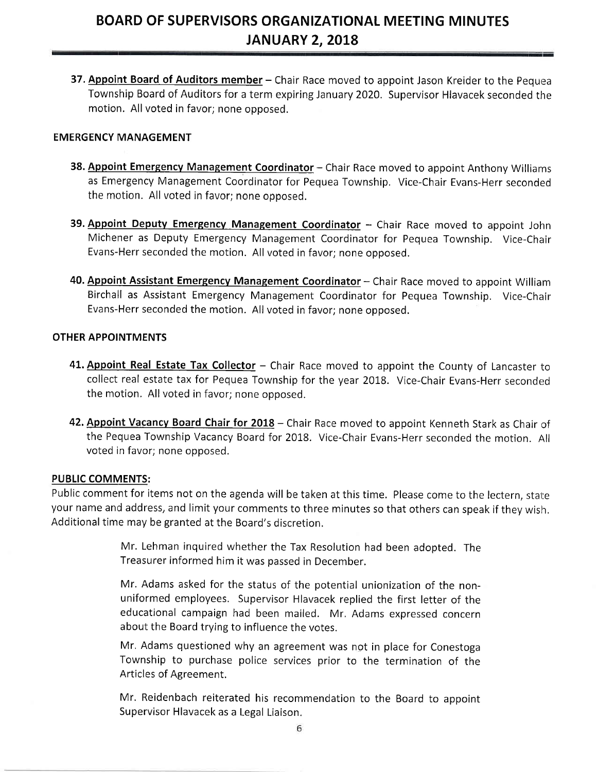37. Appoint Board of Auditors member - Chair Race moved to appoint Jason Kreider to the Pequea Township Board of Auditors for a term expiring January 2020. Supervisor Hlavacek seconded the motion. All voted in favor; none opposed.

#### EMERGENCY N4ANAGEMENT

- 38. Appoint Emergency Management Coordinator Chair Race moved to appoint Anthony Williams as Emergency Management Coordinator for Pequea Township. Vice-Chair Evans-Herr seconded the motion. All voted in favor; none opposed.
- 39. Appoint Deputy Emergency Management Coordinator Chair Race moved to appoint John Michener as Deputy Emergency Management Coordinator for Pequea Township. Vice-Chair Evans-Herr seconded the motion. All voted in favor; none opposed.
- 40. Appoint Assistant Emergency Management Coordinator Chair Race moved to appoint William Birchaill as Assistant Emergency Management Coordinator for Pequea Township. Vice-Chair Evans-Herr seconded the motion. All voted in favor; none opposed.

#### OTHER APPOINTMENTS

- 41. Appoint Real Estate Tax Collector Chair Race moved to appoint the County of Lancaster to collect real estate tax for Pequea Township for the year 2018. Vice-Chair Evans-Herr seconded the motion. All voted in favor; none opposed.
- 42. Appoint Vacancy Board Chair for 2018 Chair Race moved to appoint Kenneth Stark as Chair of the Pequea Township Vacancy Board for 2018. Vice-Chair Evans-Herr seconded the motion. All voted in favor; none opposed.

#### PUBLIC COMMENTS:

Public comment for items not on the agenda will be taken at this time. Please come to the lectern, state your name and address, and limit your comments to three minutes so that others can speak if they wish. Additional time may be granted at the Board's discretion.

> Mr. Lehman inquired whether the Tax Resolution had been adopted. The Treasurer informed him it was passed in December.

> Mr. Adams asked for the status of the potential unionization of the nonuniformed employees. Supervisor Hlavacek replied the first letter of the educational campaign had been mailed. Mr, Adams expressed concern about the Board trying to influence the votes.

> Mr, Adams questioned why an agreement was not in place for Conestoga Township to purchase police services prior to the termination of the Articles of Agreement.

> Mr. Reidenbach reiterated his recommendation to the Board to appoint Supervisor Hlavacek as a Legal Liaison.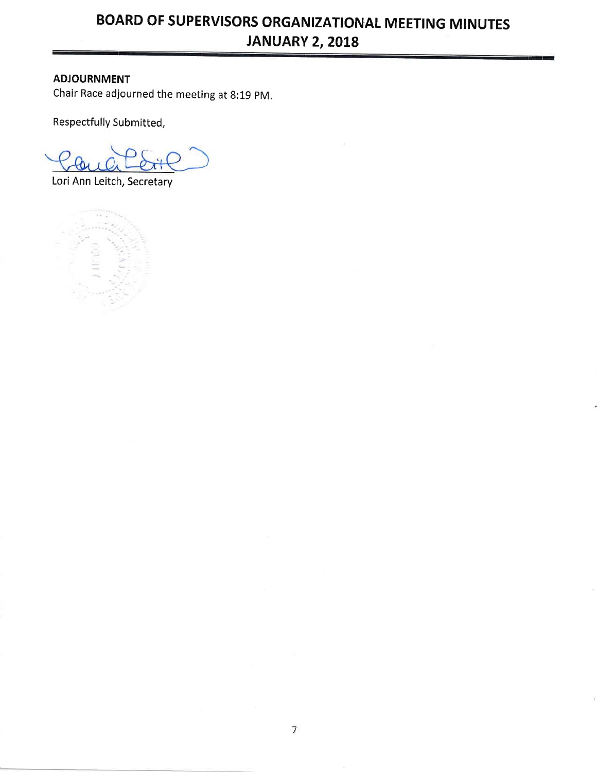### **ADJOURNMENT**

Chair Race adjourned the meeting at 8:19 PM.

Respectfully Submitted,

Lori Ann Leitch, Secretary